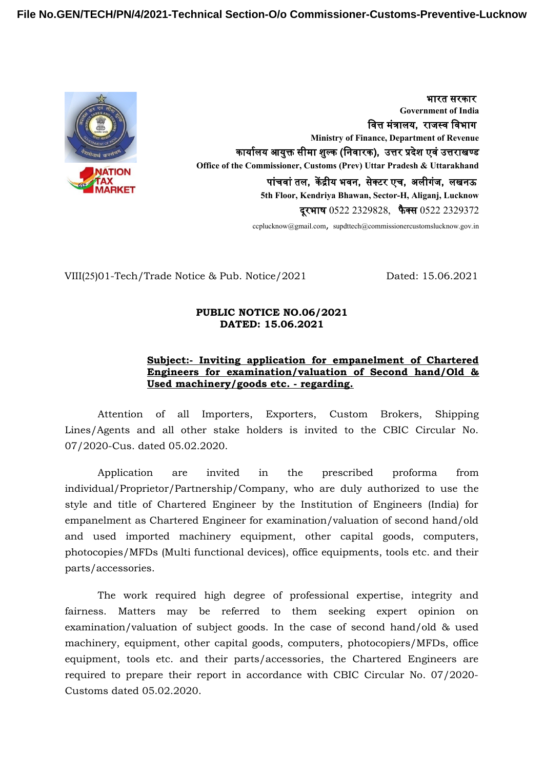

भारत सरकार **Government of India** वित्त मंत्रालय, राजस्व विभाग **Ministry of Finance, Department of Revenue** कार्यालय आयुक्त सीमा शुल्क (निवारक), उत्तर प्रदेश एवं उत्तराखण्ड **Office of the Commissioner, Customs (Prev) Uttar Pradesh & Uttarakhand** पांचवां तल, केंद्रीय भवन, सेक्टर एच, अलीगंज, लखनऊ **5th Floor, Kendriya Bhawan, Sector-H, Aliganj, Lucknow** दूरभाष 0522 2329828, फैक्स 0522 2329372

ccplucknow@gmail.com, supdttech@commissionercustomslucknow.gov.in

VIII(25)01-Tech/Trade Notice & Pub. Notice/2021 Dated: 15.06.2021

#### **PUBLIC NOTICE NO.06/2021 DATED: 15.06.2021**

## **Subject:- Inviting application for empanelment of Chartered Engineers for examination/valuation of Second hand/Old & Used machinery/goods etc. - regarding.**

Attention of all Importers, Exporters, Custom Brokers, Shipping Lines/Agents and all other stake holders is invited to the CBIC Circular No. 07/2020-Cus. dated 05.02.2020.

Application are invited in the prescribed proforma from individual/Proprietor/Partnership/Company, who are duly authorized to use the style and title of Chartered Engineer by the Institution of Engineers (India) for empanelment as Chartered Engineer for examination/valuation of second hand/old and used imported machinery equipment, other capital goods, computers, photocopies/MFDs (Multi functional devices), office equipments, tools etc. and their parts/accessories.

The work required high degree of professional expertise, integrity and fairness. Matters may be referred to them seeking expert opinion on examination/valuation of subject goods. In the case of second hand/old & used machinery, equipment, other capital goods, computers, photocopiers/MFDs, office equipment, tools etc. and their parts/accessories, the Chartered Engineers are required to prepare their report in accordance with CBIC Circular No. 07/2020- Customs dated 05.02.2020.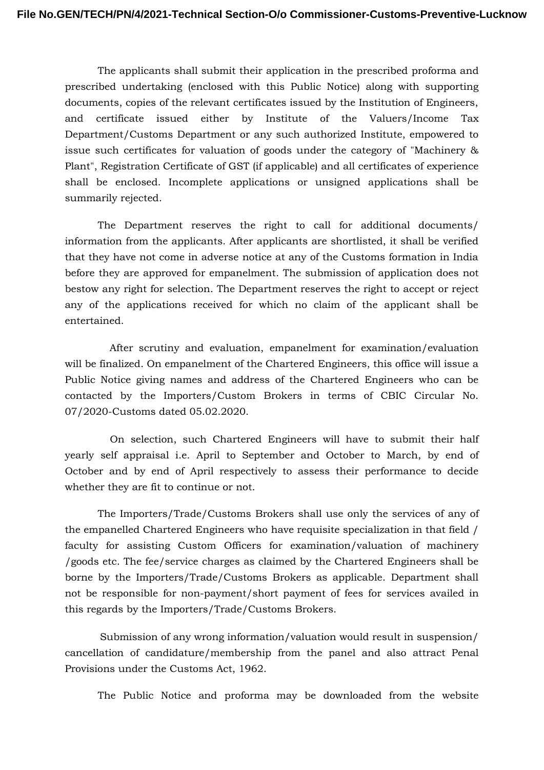The applicants shall submit their application in the prescribed proforma and prescribed undertaking (enclosed with this Public Notice) along with supporting documents, copies of the relevant certificates issued by the Institution of Engineers, and certificate issued either by Institute of the Valuers/Income Tax Department/Customs Department or any such authorized Institute, empowered to issue such certificates for valuation of goods under the category of "Machinery & Plant", Registration Certificate of GST (if applicable) and all certificates of experience shall be enclosed. Incomplete applications or unsigned applications shall be summarily rejected.

The Department reserves the right to call for additional documents/ information from the applicants. After applicants are shortlisted, it shall be verified that they have not come in adverse notice at any of the Customs formation in India before they are approved for empanelment. The submission of application does not bestow any right for selection. The Department reserves the right to accept or reject any of the applications received for which no claim of the applicant shall be entertained.

After scrutiny and evaluation, empanelment for examination/evaluation will be finalized. On empanelment of the Chartered Engineers, this office will issue a Public Notice giving names and address of the Chartered Engineers who can be contacted by the Importers/Custom Brokers in terms of CBIC Circular No. 07/2020-Customs dated 05.02.2020.

On selection, such Chartered Engineers will have to submit their half yearly self appraisal i.e. April to September and October to March, by end of October and by end of April respectively to assess their performance to decide whether they are fit to continue or not.

The Importers/Trade/Customs Brokers shall use only the services of any of the empanelled Chartered Engineers who have requisite specialization in that field / faculty for assisting Custom Officers for examination/valuation of machinery /goods etc. The fee/service charges as claimed by the Chartered Engineers shall be borne by the Importers/Trade/Customs Brokers as applicable. Department shall not be responsible for non-payment/short payment of fees for services availed in this regards by the Importers/Trade/Customs Brokers.

Submission of any wrong information/valuation would result in suspension/ cancellation of candidature/membership from the panel and also attract Penal Provisions under the Customs Act, 1962.

The Public Notice and proforma may be downloaded from the website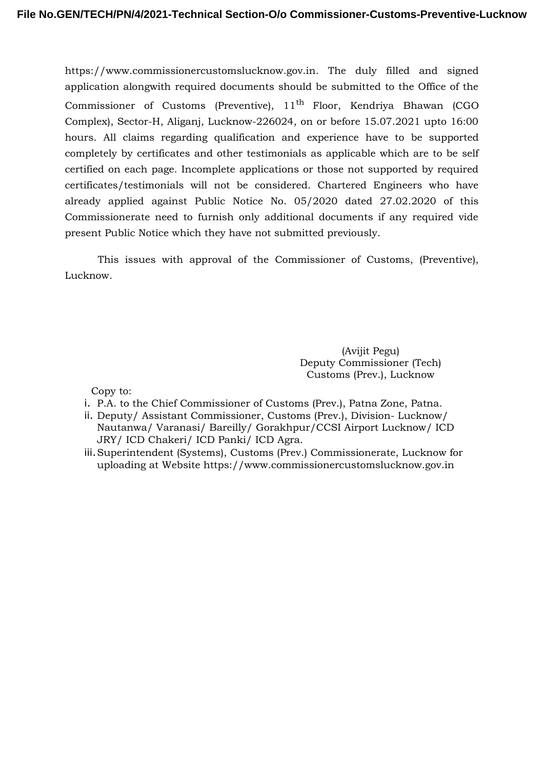https://www.commissionercustomslucknow.gov.in. The duly filled and signed application alongwith required documents should be submitted to the Office of the Commissioner of Customs (Preventive),  $11<sup>th</sup>$  Floor, Kendriya Bhawan (CGO Complex), Sector-H, Aliganj, Lucknow-226024, on or before 15.07.2021 upto 16:00 hours. All claims regarding qualification and experience have to be supported completely by certificates and other testimonials as applicable which are to be self certified on each page. Incomplete applications or those not supported by required certificates/testimonials will not be considered. Chartered Engineers who have already applied against Public Notice No. 05/2020 dated 27.02.2020 of this Commissionerate need to furnish only additional documents if any required vide present Public Notice which they have not submitted previously.

This issues with approval of the Commissioner of Customs, (Preventive), Lucknow.

> (Avijit Pegu) Deputy Commissioner (Tech) Customs (Prev.), Lucknow

Copy to:

- i. P.A. to the Chief Commissioner of Customs (Prev.), Patna Zone, Patna.
- ii. Deputy/ Assistant Commissioner, Customs (Prev.), Division- Lucknow/ Nautanwa/ Varanasi/ Bareilly/ Gorakhpur/CCSI Airport Lucknow/ ICD JRY/ ICD Chakeri/ ICD Panki/ ICD Agra.
- iii.Superintendent (Systems), Customs (Prev.) Commissionerate, Lucknow for uploading at Website https://www.commissionercustomslucknow.gov.in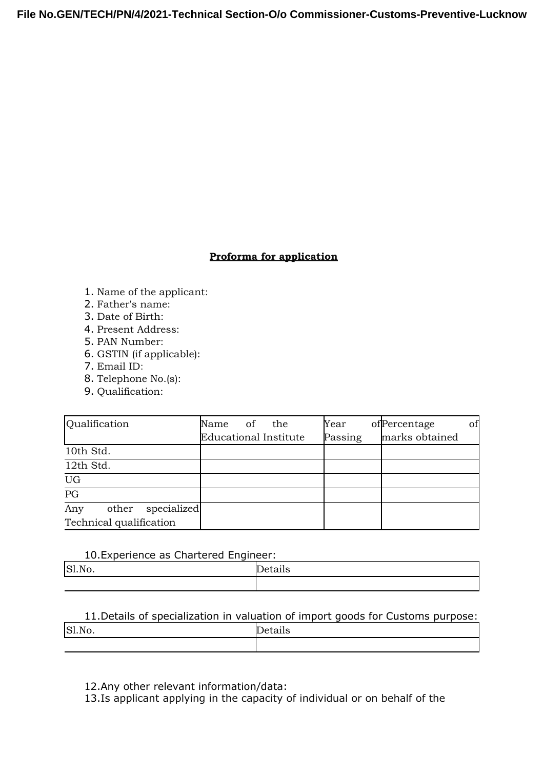## **Proforma for application**

- 1. Name of the applicant:
- 2. Father's name:
- 3. Date of Birth:
- 4. Present Address:
- 5. PAN Number:
- 6. GSTIN (if applicable):
- 7. Email ID:
- 8. Telephone No.(s):
- 9. Qualification:

| <b>Qualification</b>        | of<br>the<br>Name            | Year    | of Percentage<br>of |
|-----------------------------|------------------------------|---------|---------------------|
|                             | <b>Educational Institute</b> | Passing | marks obtained      |
| 10th Std.                   |                              |         |                     |
| 12th Std.                   |                              |         |                     |
| UG                          |                              |         |                     |
| $\overline{PG}$             |                              |         |                     |
| Any<br>specialized<br>other |                              |         |                     |
| Technical qualification     |                              |         |                     |

### 10.Experience as Chartered Engineer:

| S1,N<br>1 M<br>,,,, | . . |
|---------------------|-----|
|                     |     |

# 11.Details of specialization in valuation of import goods for Customs purpose: Sl.No. Details

12.Any other relevant information/data:

13.Is applicant applying in the capacity of individual or on behalf of the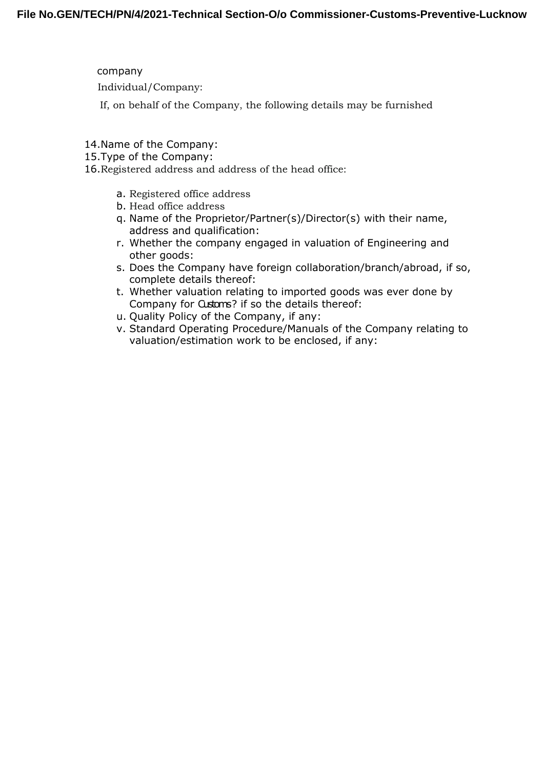company Individual/Company:

If, on behalf of the Company, the following details may be furnished

- 14.Name of the Company:
- 15.Type of the Company:

16.Registered address and address of the head office:

- a. Registered office address
- b. Head office address
- q. Name of the Proprietor/Partner(s)/Director(s) with their name, address and qualification:
- r. Whether the company engaged in valuation of Engineering and other goods:
- s. Does the Company have foreign collaboration/branch/abroad, if so, complete details thereof:
- t. Whether valuation relating to imported goods was ever done by Company for Customs? if so the details thereof:
- u. Quality Policy of the Company, if any:
- v. Standard Operating Procedure/Manuals of the Company relating to valuation/estimation work to be enclosed, if any: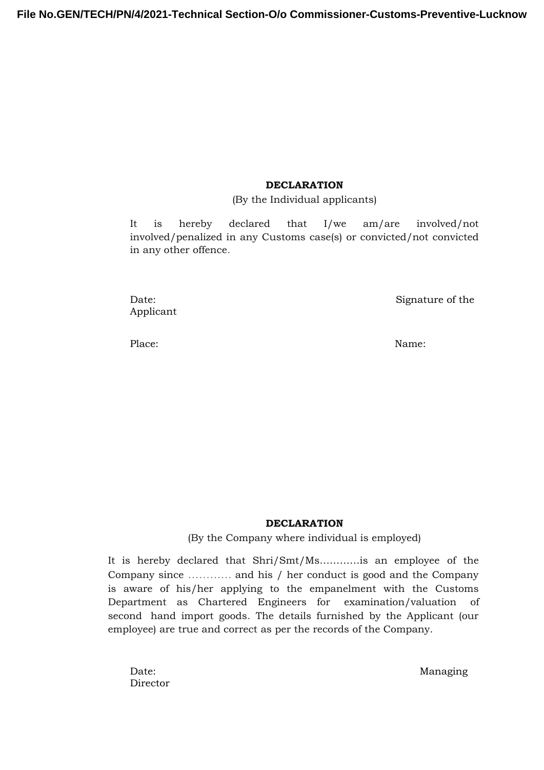### **DECLARATION**

(By the Individual applicants)

It is hereby declared that I/we am/are involved/not involved/penalized in any Customs case(s) or convicted/not convicted in any other offence.

Applicant

Date: Signature of the Signature of the Signature of the Signature of the Signature of the Signature of the Signature of the Signature of the Signature of the Signature of the Signature of the Signature of the Signature of

Place: Name: Name: Name: Name: Name: Name: Name: Name: Name: Name: Name: Name: Name: Name: Name: Name: Name: Name:  $\mathbb{N}$ 

#### **DECLARATION**

(By the Company where individual is employed)

It is hereby declared that Shri/Smt/Ms…………is an employee of the Company since ………… and his / her conduct is good and the Company is aware of his/her applying to the empanelment with the Customs Department as Chartered Engineers for examination/valuation of second hand import goods. The details furnished by the Applicant (our employee) are true and correct as per the records of the Company.

Director

Date: Managing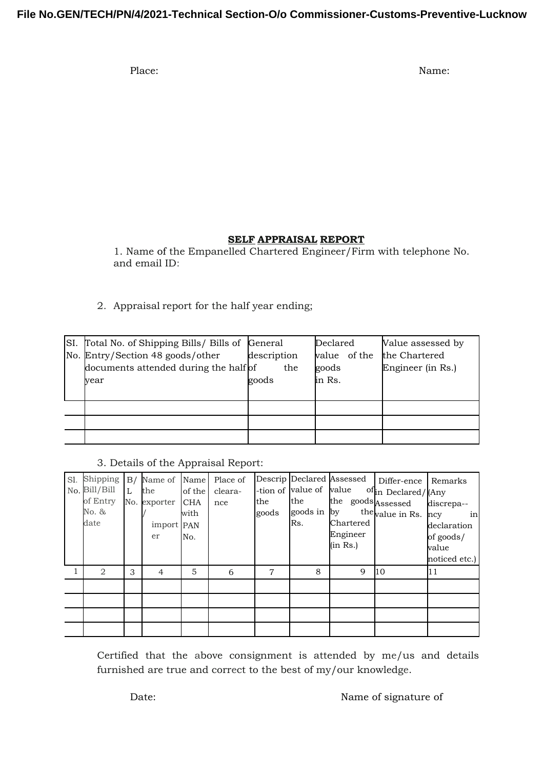Place: Name: Name: Name: Name: Name: Name: Name: Name: Name: Name: Name: Name: Name: Name: Name: Name: Name: Name: Name: Name: Name: Name:  $\mathbb{N}$ 

## **SELF APPRAISAL REPORT**

1. Name of the Empanelled Chartered Engineer/Firm with telephone No. and email ID:

2. Appraisal report for the half year ending;

| SI. Total No. of Shipping Bills / Bills of General                                |                             | Declared                        | Value assessed by                  |  |
|-----------------------------------------------------------------------------------|-----------------------------|---------------------------------|------------------------------------|--|
| No. Entry/Section 48 goods/other<br>documents attended during the half of<br>vear | description<br>the<br>goods | value of the<br>goods<br>in Rs. | the Chartered<br>Engineer (in Rs.) |  |
|                                                                                   |                             |                                 |                                    |  |
|                                                                                   |                             |                                 |                                    |  |
|                                                                                   |                             |                                 |                                    |  |

## 3. Details of the Appraisal Report:

| SI. | Shipping<br>No. Bill/Bill<br>of Entry<br>No. &<br>date | L | B/ Name of<br>the<br>No. exporter CHA<br>import PAN<br>er | Name<br>of the<br>with<br>No. | Place of<br>cleara-<br>nce | the<br>goods   | -tion of value of value<br>the<br>goods in by<br>Rs. | Descrip Declared Assessed<br>the goods Assessed<br>Chartered<br>Engineer<br>(in Rs.) | Differ-ence<br>ofin Declared/(Any<br>the value in Rs. | Remarks <br>discrepa--<br>in<br>ncy<br>declaration<br>of goods/<br>walue |
|-----|--------------------------------------------------------|---|-----------------------------------------------------------|-------------------------------|----------------------------|----------------|------------------------------------------------------|--------------------------------------------------------------------------------------|-------------------------------------------------------|--------------------------------------------------------------------------|
|     | 2                                                      | 3 | 4                                                         | 5                             | 6                          | $\overline{7}$ | 8                                                    | 9                                                                                    | 10                                                    | noticed etc.)<br> 11                                                     |
|     |                                                        |   |                                                           |                               |                            |                |                                                      |                                                                                      |                                                       |                                                                          |
|     |                                                        |   |                                                           |                               |                            |                |                                                      |                                                                                      |                                                       |                                                                          |
|     |                                                        |   |                                                           |                               |                            |                |                                                      |                                                                                      |                                                       |                                                                          |

Certified that the above consignment is attended by me/us and details furnished are true and correct to the best of my/our knowledge.

Date: Name of signature of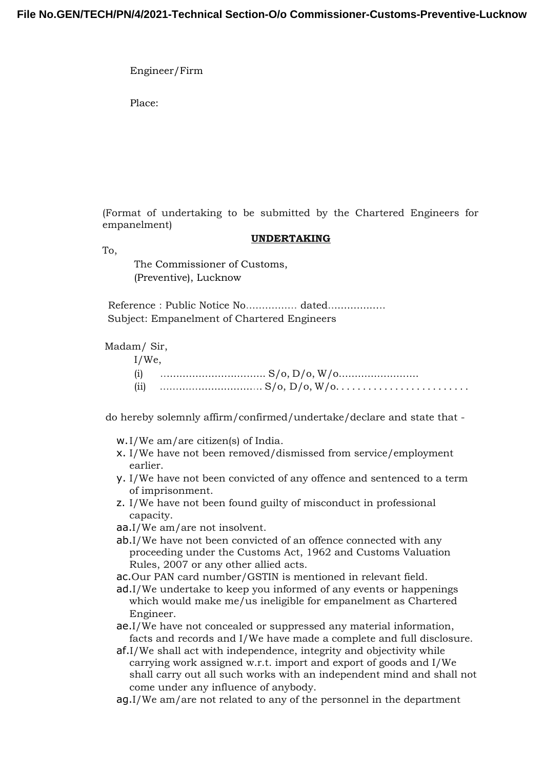Engineer/Firm

Place:

(Format of undertaking to be submitted by the Chartered Engineers for empanelment)

### **UNDERTAKING**

To,

The Commissioner of Customs, (Preventive), Lucknow

Reference : Public Notice No.................. dated.................. Subject: Empanelment of Chartered Engineers

Madam/ Sir,

| $I/We$ , |  |
|----------|--|
| (i)      |  |
|          |  |

do hereby solemnly affirm/confirmed/undertake/declare and state that -

- w.I/We am/are citizen(s) of India.
- x. I/We have not been removed/dismissed from service/employment earlier.
- y. I/We have not been convicted of any offence and sentenced to a term of imprisonment.
- z. I/We have not been found guilty of misconduct in professional capacity.
- aa.I/We am/are not insolvent.
- ab.I/We have not been convicted of an offence connected with any proceeding under the Customs Act, 1962 and Customs Valuation Rules, 2007 or any other allied acts.
- ac.Our PAN card number/GSTIN is mentioned in relevant field.
- ad.I/We undertake to keep you informed of any events or happenings which would make me/us ineligible for empanelment as Chartered Engineer.
- ae.I/We have not concealed or suppressed any material information, facts and records and I/We have made a complete and full disclosure.
- af.I/We shall act with independence, integrity and objectivity while carrying work assigned w.r.t. import and export of goods and I/We shall carry out all such works with an independent mind and shall not come under any influence of anybody.
- ag.I/We am/are not related to any of the personnel in the department